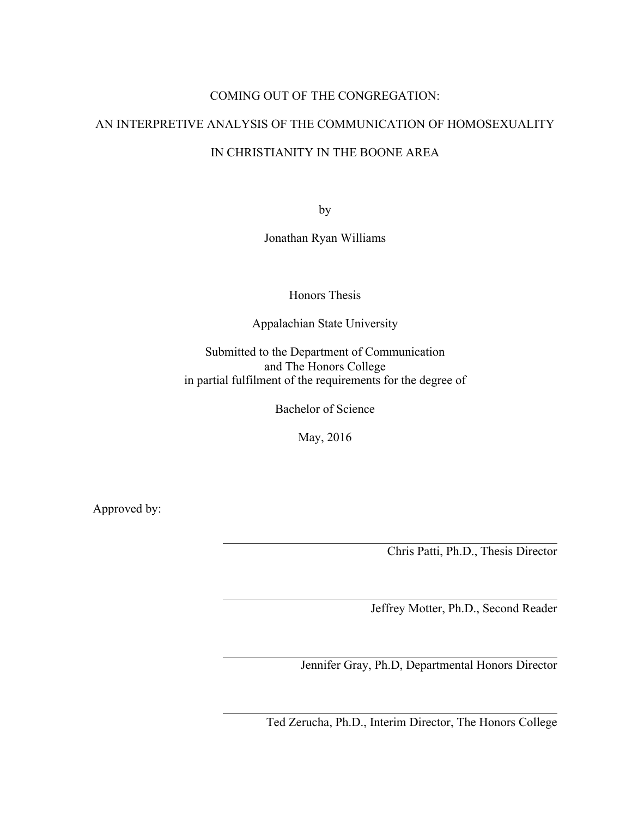# COMING OUT OF THE CONGREGATION:

# AN INTERPRETIVE ANALYSIS OF THE COMMUNICATION OF HOMOSEXUALITY

# IN CHRISTIANITY IN THE BOONE AREA

by

Jonathan Ryan Williams

Honors Thesis

Appalachian State University

Submitted to the Department of Communication and The Honors College in partial fulfilment of the requirements for the degree of

Bachelor of Science

May, 2016

Approved by:

Chris Patti, Ph.D., Thesis Director

Jeffrey Motter, Ph.D., Second Reader

Jennifer Gray, Ph.D, Departmental Honors Director

Ted Zerucha, Ph.D., Interim Director, The Honors College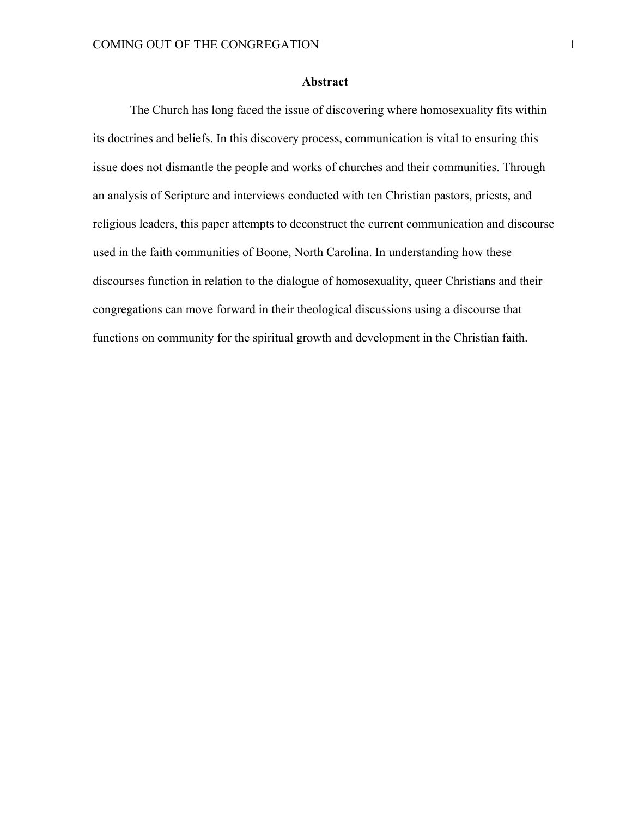## **Abstract**

The Church has long faced the issue of discovering where homosexuality fits within its doctrines and beliefs. In this discovery process, communication is vital to ensuring this issue does not dismantle the people and works of churches and their communities. Through an analysis of Scripture and interviews conducted with ten Christian pastors, priests, and religious leaders, this paper attempts to deconstruct the current communication and discourse used in the faith communities of Boone, North Carolina. In understanding how these discourses function in relation to the dialogue of homosexuality, queer Christians and their congregations can move forward in their theological discussions using a discourse that functions on community for the spiritual growth and development in the Christian faith.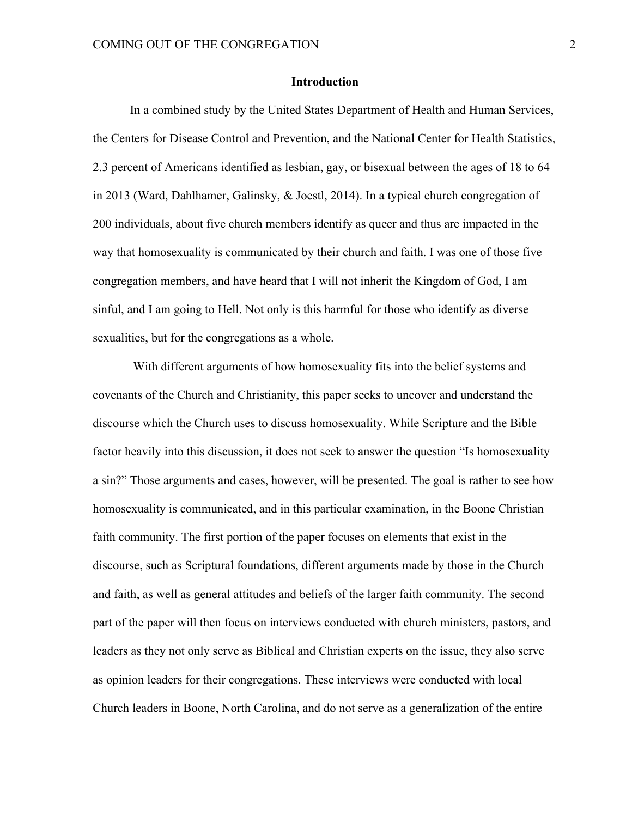#### **Introduction**

In a combined study by the United States Department of Health and Human Services, the Centers for Disease Control and Prevention, and the National Center for Health Statistics, 2.3 percent of Americans identified as lesbian, gay, or bisexual between the ages of 18 to 64 in 2013 (Ward, Dahlhamer, Galinsky, & Joestl, 2014). In a typical church congregation of 200 individuals, about five church members identify as queer and thus are impacted in the way that homosexuality is communicated by their church and faith. I was one of those five congregation members, and have heard that I will not inherit the Kingdom of God, I am sinful, and I am going to Hell. Not only is this harmful for those who identify as diverse sexualities, but for the congregations as a whole.

With different arguments of how homosexuality fits into the belief systems and covenants of the Church and Christianity, this paper seeks to uncover and understand the discourse which the Church uses to discuss homosexuality. While Scripture and the Bible factor heavily into this discussion, it does not seek to answer the question "Is homosexuality a sin?" Those arguments and cases, however, will be presented. The goal is rather to see how homosexuality is communicated, and in this particular examination, in the Boone Christian faith community. The first portion of the paper focuses on elements that exist in the discourse, such as Scriptural foundations, different arguments made by those in the Church and faith, as well as general attitudes and beliefs of the larger faith community. The second part of the paper will then focus on interviews conducted with church ministers, pastors, and leaders as they not only serve as Biblical and Christian experts on the issue, they also serve as opinion leaders for their congregations. These interviews were conducted with local Church leaders in Boone, North Carolina, and do not serve as a generalization of the entire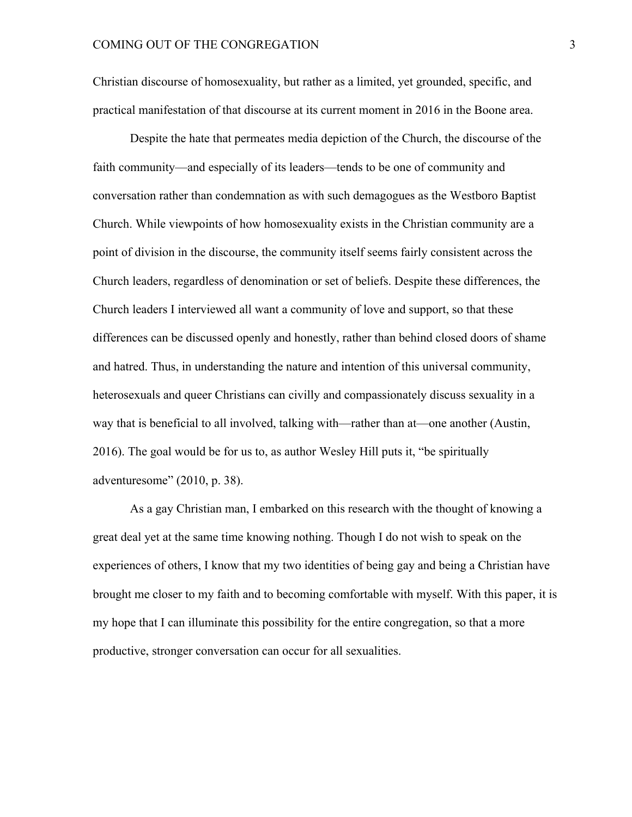Christian discourse of homosexuality, but rather as a limited, yet grounded, specific, and practical manifestation of that discourse at its current moment in 2016 in the Boone area.

Despite the hate that permeates media depiction of the Church, the discourse of the faith community—and especially of its leaders—tends to be one of community and conversation rather than condemnation as with such demagogues as the Westboro Baptist Church. While viewpoints of how homosexuality exists in the Christian community are a point of division in the discourse, the community itself seems fairly consistent across the Church leaders, regardless of denomination or set of beliefs. Despite these differences, the Church leaders I interviewed all want a community of love and support, so that these differences can be discussed openly and honestly, rather than behind closed doors of shame and hatred. Thus, in understanding the nature and intention of this universal community, heterosexuals and queer Christians can civilly and compassionately discuss sexuality in a way that is beneficial to all involved, talking with—rather than at—one another (Austin, 2016). The goal would be for us to, as author Wesley Hill puts it, "be spiritually adventuresome" (2010, p. 38).

As a gay Christian man, I embarked on this research with the thought of knowing a great deal yet at the same time knowing nothing. Though I do not wish to speak on the experiences of others, I know that my two identities of being gay and being a Christian have brought me closer to my faith and to becoming comfortable with myself. With this paper, it is my hope that I can illuminate this possibility for the entire congregation, so that a more productive, stronger conversation can occur for all sexualities.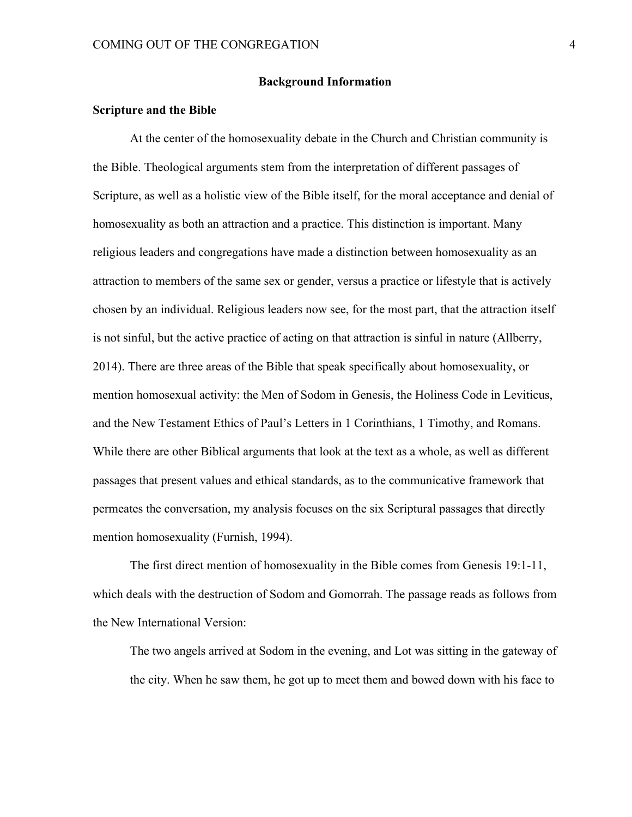#### **Background Information**

#### **Scripture and the Bible**

At the center of the homosexuality debate in the Church and Christian community is the Bible. Theological arguments stem from the interpretation of different passages of Scripture, as well as a holistic view of the Bible itself, for the moral acceptance and denial of homosexuality as both an attraction and a practice. This distinction is important. Many religious leaders and congregations have made a distinction between homosexuality as an attraction to members of the same sex or gender, versus a practice or lifestyle that is actively chosen by an individual. Religious leaders now see, for the most part, that the attraction itself is not sinful, but the active practice of acting on that attraction is sinful in nature (Allberry, 2014). There are three areas of the Bible that speak specifically about homosexuality, or mention homosexual activity: the Men of Sodom in Genesis, the Holiness Code in Leviticus, and the New Testament Ethics of Paul's Letters in 1 Corinthians, 1 Timothy, and Romans. While there are other Biblical arguments that look at the text as a whole, as well as different passages that present values and ethical standards, as to the communicative framework that permeates the conversation, my analysis focuses on the six Scriptural passages that directly mention homosexuality (Furnish, 1994).

The first direct mention of homosexuality in the Bible comes from Genesis 19:1-11, which deals with the destruction of Sodom and Gomorrah. The passage reads as follows from the New International Version:

The two angels arrived at Sodom in the evening, and Lot was sitting in the gateway of the city. When he saw them, he got up to meet them and bowed down with his face to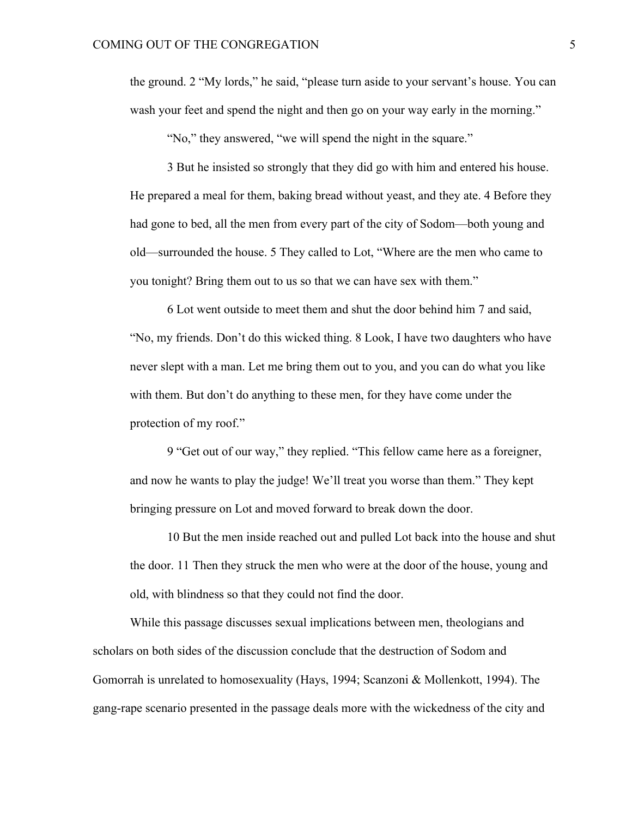the ground. 2 "My lords," he said, "please turn aside to your servant's house. You can wash your feet and spend the night and then go on your way early in the morning."

"No," they answered, "we will spend the night in the square."

3 But he insisted so strongly that they did go with him and entered his house. He prepared a meal for them, baking bread without yeast, and they ate. 4 Before they had gone to bed, all the men from every part of the city of Sodom—both young and old—surrounded the house. 5 They called to Lot, "Where are the men who came to you tonight? Bring them out to us so that we can have sex with them."

6 Lot went outside to meet them and shut the door behind him 7 and said, "No, my friends. Don't do this wicked thing. 8 Look, I have two daughters who have never slept with a man. Let me bring them out to you, and you can do what you like with them. But don't do anything to these men, for they have come under the protection of my roof."

9 "Get out of our way," they replied. "This fellow came here as a foreigner, and now he wants to play the judge! We'll treat you worse than them." They kept bringing pressure on Lot and moved forward to break down the door.

10 But the men inside reached out and pulled Lot back into the house and shut the door. 11 Then they struck the men who were at the door of the house, young and old, with blindness so that they could not find the door.

While this passage discusses sexual implications between men, theologians and scholars on both sides of the discussion conclude that the destruction of Sodom and Gomorrah is unrelated to homosexuality (Hays, 1994; Scanzoni & Mollenkott, 1994). The gang-rape scenario presented in the passage deals more with the wickedness of the city and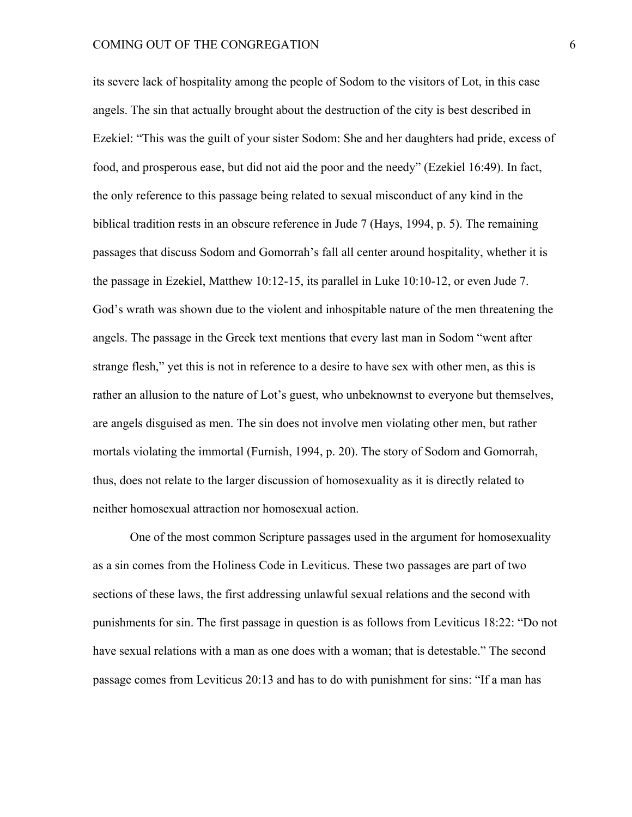#### COMING OUT OF THE CONGREGATION 6

its severe lack of hospitality among the people of Sodom to the visitors of Lot, in this case angels. The sin that actually brought about the destruction of the city is best described in Ezekiel: "This was the guilt of your sister Sodom: She and her daughters had pride, excess of food, and prosperous ease, but did not aid the poor and the needy" (Ezekiel 16:49). In fact, the only reference to this passage being related to sexual misconduct of any kind in the biblical tradition rests in an obscure reference in Jude 7 (Hays, 1994, p. 5). The remaining passages that discuss Sodom and Gomorrah's fall all center around hospitality, whether it is the passage in Ezekiel, Matthew 10:12-15, its parallel in Luke 10:10-12, or even Jude 7. God's wrath was shown due to the violent and inhospitable nature of the men threatening the angels. The passage in the Greek text mentions that every last man in Sodom "went after strange flesh," yet this is not in reference to a desire to have sex with other men, as this is rather an allusion to the nature of Lot's guest, who unbeknownst to everyone but themselves, are angels disguised as men. The sin does not involve men violating other men, but rather mortals violating the immortal (Furnish, 1994, p. 20). The story of Sodom and Gomorrah, thus, does not relate to the larger discussion of homosexuality as it is directly related to neither homosexual attraction nor homosexual action.

One of the most common Scripture passages used in the argument for homosexuality as a sin comes from the Holiness Code in Leviticus. These two passages are part of two sections of these laws, the first addressing unlawful sexual relations and the second with punishments for sin. The first passage in question is as follows from Leviticus 18:22: "Do not have sexual relations with a man as one does with a woman; that is detestable." The second passage comes from Leviticus 20:13 and has to do with punishment for sins: "If a man has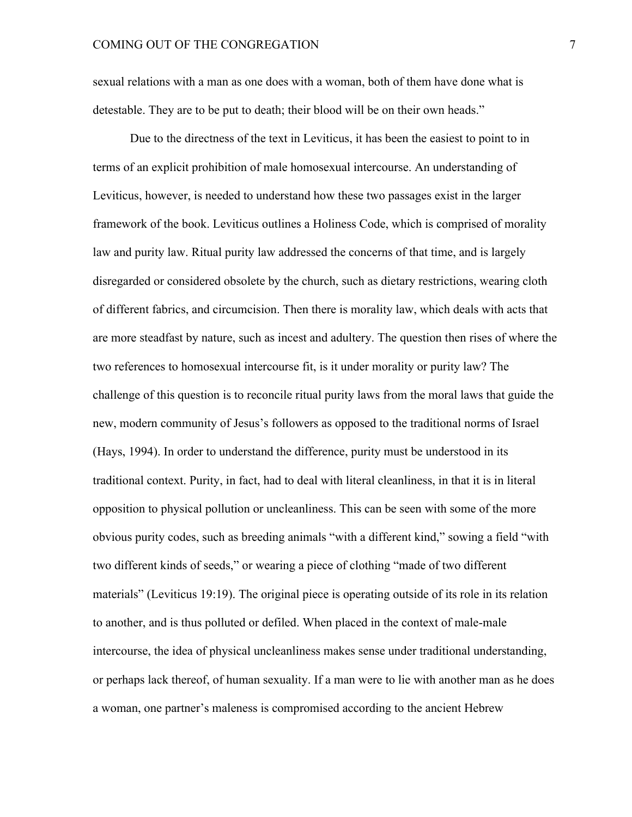sexual relations with a man as one does with a woman, both of them have done what is detestable. They are to be put to death; their blood will be on their own heads."

Due to the directness of the text in Leviticus, it has been the easiest to point to in terms of an explicit prohibition of male homosexual intercourse. An understanding of Leviticus, however, is needed to understand how these two passages exist in the larger framework of the book. Leviticus outlines a Holiness Code, which is comprised of morality law and purity law. Ritual purity law addressed the concerns of that time, and is largely disregarded or considered obsolete by the church, such as dietary restrictions, wearing cloth of different fabrics, and circumcision. Then there is morality law, which deals with acts that are more steadfast by nature, such as incest and adultery. The question then rises of where the two references to homosexual intercourse fit, is it under morality or purity law? The challenge of this question is to reconcile ritual purity laws from the moral laws that guide the new, modern community of Jesus's followers as opposed to the traditional norms of Israel (Hays, 1994). In order to understand the difference, purity must be understood in its traditional context. Purity, in fact, had to deal with literal cleanliness, in that it is in literal opposition to physical pollution or uncleanliness. This can be seen with some of the more obvious purity codes, such as breeding animals "with a different kind," sowing a field "with two different kinds of seeds," or wearing a piece of clothing "made of two different materials" (Leviticus 19:19). The original piece is operating outside of its role in its relation to another, and is thus polluted or defiled. When placed in the context of male-male intercourse, the idea of physical uncleanliness makes sense under traditional understanding, or perhaps lack thereof, of human sexuality. If a man were to lie with another man as he does a woman, one partner's maleness is compromised according to the ancient Hebrew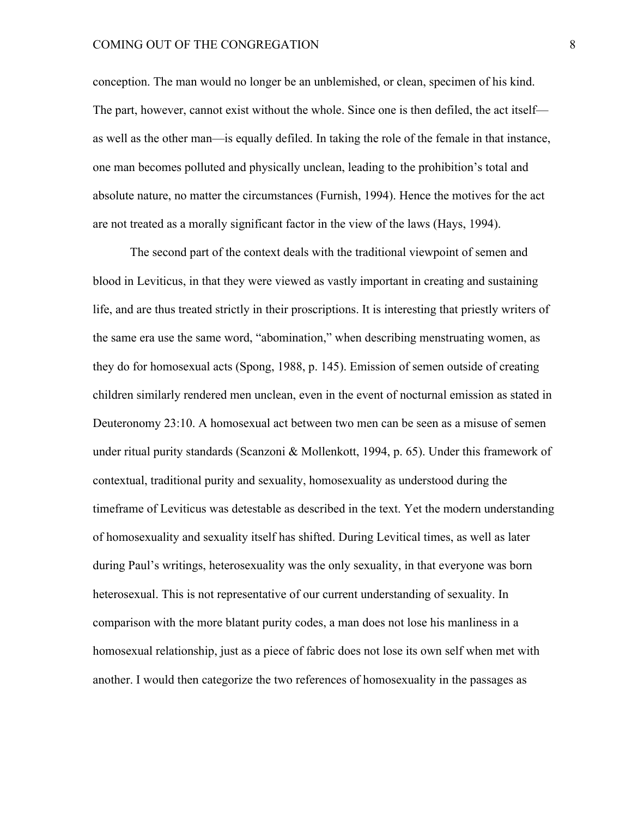#### COMING OUT OF THE CONGREGATION 8

conception. The man would no longer be an unblemished, or clean, specimen of his kind. The part, however, cannot exist without the whole. Since one is then defiled, the act itself as well as the other man—is equally defiled. In taking the role of the female in that instance, one man becomes polluted and physically unclean, leading to the prohibition's total and absolute nature, no matter the circumstances (Furnish, 1994). Hence the motives for the act are not treated as a morally significant factor in the view of the laws (Hays, 1994).

The second part of the context deals with the traditional viewpoint of semen and blood in Leviticus, in that they were viewed as vastly important in creating and sustaining life, and are thus treated strictly in their proscriptions. It is interesting that priestly writers of the same era use the same word, "abomination," when describing menstruating women, as they do for homosexual acts (Spong, 1988, p. 145). Emission of semen outside of creating children similarly rendered men unclean, even in the event of nocturnal emission as stated in Deuteronomy 23:10. A homosexual act between two men can be seen as a misuse of semen under ritual purity standards (Scanzoni & Mollenkott, 1994, p. 65). Under this framework of contextual, traditional purity and sexuality, homosexuality as understood during the timeframe of Leviticus was detestable as described in the text. Yet the modern understanding of homosexuality and sexuality itself has shifted. During Levitical times, as well as later during Paul's writings, heterosexuality was the only sexuality, in that everyone was born heterosexual. This is not representative of our current understanding of sexuality. In comparison with the more blatant purity codes, a man does not lose his manliness in a homosexual relationship, just as a piece of fabric does not lose its own self when met with another. I would then categorize the two references of homosexuality in the passages as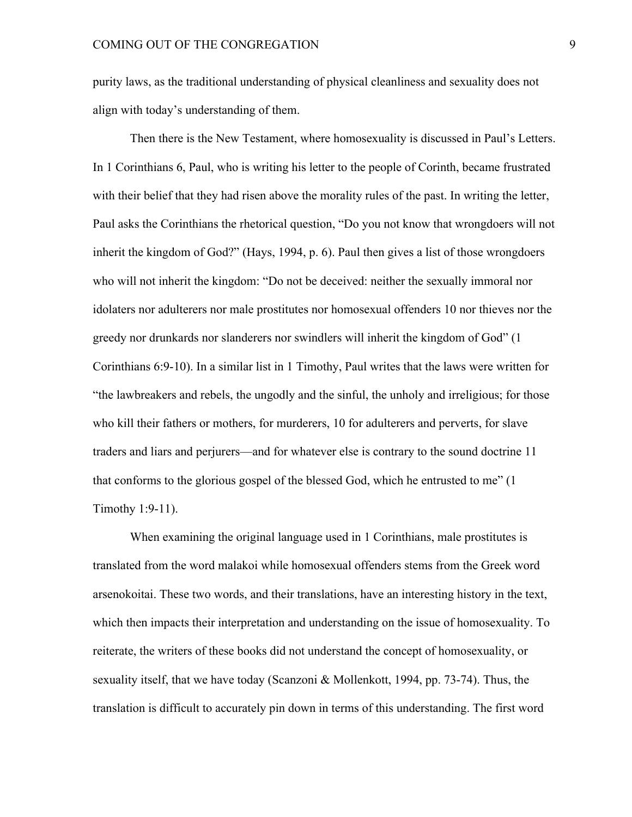purity laws, as the traditional understanding of physical cleanliness and sexuality does not align with today's understanding of them.

Then there is the New Testament, where homosexuality is discussed in Paul's Letters. In 1 Corinthians 6, Paul, who is writing his letter to the people of Corinth, became frustrated with their belief that they had risen above the morality rules of the past. In writing the letter, Paul asks the Corinthians the rhetorical question, "Do you not know that wrongdoers will not inherit the kingdom of God?" (Hays, 1994, p. 6). Paul then gives a list of those wrongdoers who will not inherit the kingdom: "Do not be deceived: neither the sexually immoral nor idolaters nor adulterers nor male prostitutes nor homosexual offenders 10 nor thieves nor the greedy nor drunkards nor slanderers nor swindlers will inherit the kingdom of God" (1 Corinthians 6:9-10). In a similar list in 1 Timothy, Paul writes that the laws were written for "the lawbreakers and rebels, the ungodly and the sinful, the unholy and irreligious; for those who kill their fathers or mothers, for murderers, 10 for adulterers and perverts, for slave traders and liars and perjurers—and for whatever else is contrary to the sound doctrine 11 that conforms to the glorious gospel of the blessed God, which he entrusted to me" (1 Timothy 1:9-11).

When examining the original language used in 1 Corinthians, male prostitutes is translated from the word malakoi while homosexual offenders stems from the Greek word arsenokoitai. These two words, and their translations, have an interesting history in the text, which then impacts their interpretation and understanding on the issue of homosexuality. To reiterate, the writers of these books did not understand the concept of homosexuality, or sexuality itself, that we have today (Scanzoni & Mollenkott, 1994, pp. 73-74). Thus, the translation is difficult to accurately pin down in terms of this understanding. The first word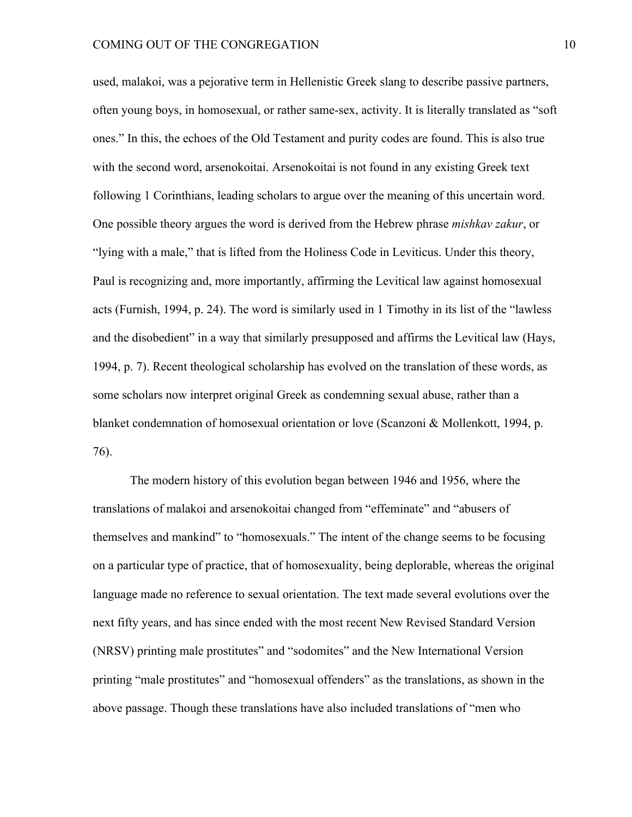used, malakoi, was a pejorative term in Hellenistic Greek slang to describe passive partners, often young boys, in homosexual, or rather same-sex, activity. It is literally translated as "soft ones." In this, the echoes of the Old Testament and purity codes are found. This is also true with the second word, arsenokoitai. Arsenokoitai is not found in any existing Greek text following 1 Corinthians, leading scholars to argue over the meaning of this uncertain word. One possible theory argues the word is derived from the Hebrew phrase *mishkav zakur*, or "lying with a male," that is lifted from the Holiness Code in Leviticus. Under this theory, Paul is recognizing and, more importantly, affirming the Levitical law against homosexual acts (Furnish, 1994, p. 24). The word is similarly used in 1 Timothy in its list of the "lawless and the disobedient" in a way that similarly presupposed and affirms the Levitical law (Hays, 1994, p. 7). Recent theological scholarship has evolved on the translation of these words, as some scholars now interpret original Greek as condemning sexual abuse, rather than a blanket condemnation of homosexual orientation or love (Scanzoni & Mollenkott, 1994, p. 76).

The modern history of this evolution began between 1946 and 1956, where the translations of malakoi and arsenokoitai changed from "effeminate" and "abusers of themselves and mankind" to "homosexuals." The intent of the change seems to be focusing on a particular type of practice, that of homosexuality, being deplorable, whereas the original language made no reference to sexual orientation. The text made several evolutions over the next fifty years, and has since ended with the most recent New Revised Standard Version (NRSV) printing male prostitutes" and "sodomites" and the New International Version printing "male prostitutes" and "homosexual offenders" as the translations, as shown in the above passage. Though these translations have also included translations of "men who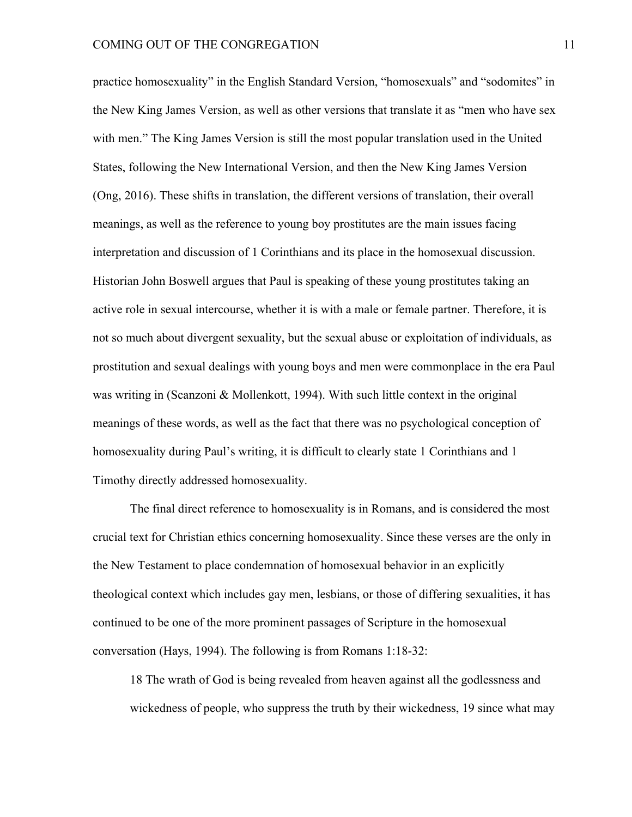practice homosexuality" in the English Standard Version, "homosexuals" and "sodomites" in the New King James Version, as well as other versions that translate it as "men who have sex with men." The King James Version is still the most popular translation used in the United States, following the New International Version, and then the New King James Version (Ong, 2016). These shifts in translation, the different versions of translation, their overall meanings, as well as the reference to young boy prostitutes are the main issues facing interpretation and discussion of 1 Corinthians and its place in the homosexual discussion. Historian John Boswell argues that Paul is speaking of these young prostitutes taking an active role in sexual intercourse, whether it is with a male or female partner. Therefore, it is not so much about divergent sexuality, but the sexual abuse or exploitation of individuals, as prostitution and sexual dealings with young boys and men were commonplace in the era Paul was writing in (Scanzoni & Mollenkott, 1994). With such little context in the original meanings of these words, as well as the fact that there was no psychological conception of homosexuality during Paul's writing, it is difficult to clearly state 1 Corinthians and 1 Timothy directly addressed homosexuality.

The final direct reference to homosexuality is in Romans, and is considered the most crucial text for Christian ethics concerning homosexuality. Since these verses are the only in the New Testament to place condemnation of homosexual behavior in an explicitly theological context which includes gay men, lesbians, or those of differing sexualities, it has continued to be one of the more prominent passages of Scripture in the homosexual conversation (Hays, 1994). The following is from Romans 1:18-32:

18 The wrath of God is being revealed from heaven against all the godlessness and wickedness of people, who suppress the truth by their wickedness, 19 since what may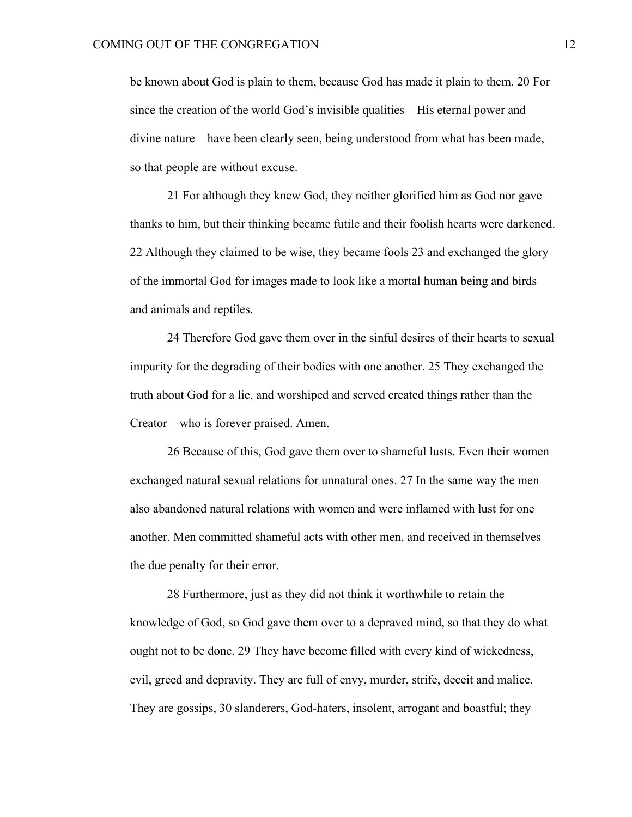be known about God is plain to them, because God has made it plain to them. 20 For since the creation of the world God's invisible qualities—His eternal power and divine nature—have been clearly seen, being understood from what has been made, so that people are without excuse.

21 For although they knew God, they neither glorified him as God nor gave thanks to him, but their thinking became futile and their foolish hearts were darkened. 22 Although they claimed to be wise, they became fools 23 and exchanged the glory of the immortal God for images made to look like a mortal human being and birds and animals and reptiles.

24 Therefore God gave them over in the sinful desires of their hearts to sexual impurity for the degrading of their bodies with one another. 25 They exchanged the truth about God for a lie, and worshiped and served created things rather than the Creator—who is forever praised. Amen.

26 Because of this, God gave them over to shameful lusts. Even their women exchanged natural sexual relations for unnatural ones. 27 In the same way the men also abandoned natural relations with women and were inflamed with lust for one another. Men committed shameful acts with other men, and received in themselves the due penalty for their error.

28 Furthermore, just as they did not think it worthwhile to retain the knowledge of God, so God gave them over to a depraved mind, so that they do what ought not to be done. 29 They have become filled with every kind of wickedness, evil, greed and depravity. They are full of envy, murder, strife, deceit and malice. They are gossips, 30 slanderers, God-haters, insolent, arrogant and boastful; they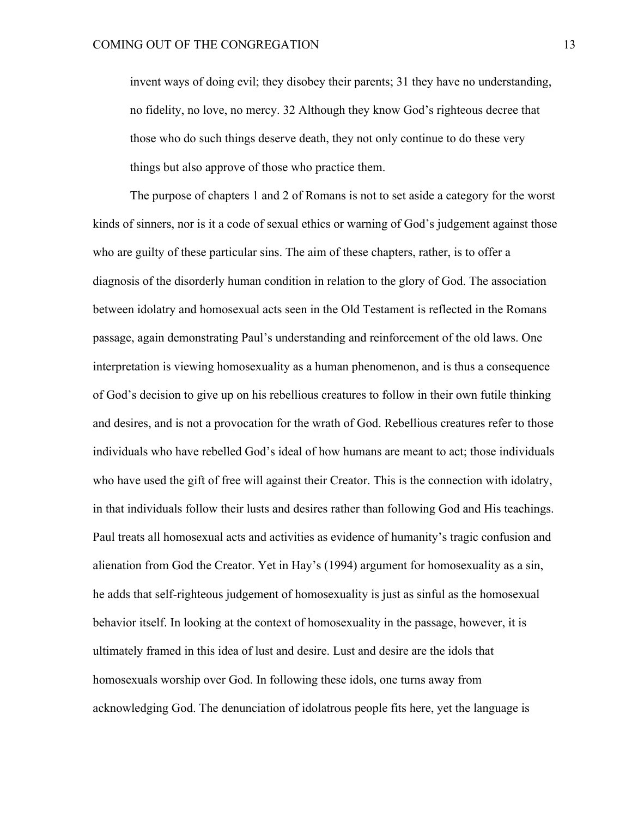invent ways of doing evil; they disobey their parents; 31 they have no understanding, no fidelity, no love, no mercy. 32 Although they know God's righteous decree that those who do such things deserve death, they not only continue to do these very things but also approve of those who practice them.

The purpose of chapters 1 and 2 of Romans is not to set aside a category for the worst kinds of sinners, nor is it a code of sexual ethics or warning of God's judgement against those who are guilty of these particular sins. The aim of these chapters, rather, is to offer a diagnosis of the disorderly human condition in relation to the glory of God. The association between idolatry and homosexual acts seen in the Old Testament is reflected in the Romans passage, again demonstrating Paul's understanding and reinforcement of the old laws. One interpretation is viewing homosexuality as a human phenomenon, and is thus a consequence of God's decision to give up on his rebellious creatures to follow in their own futile thinking and desires, and is not a provocation for the wrath of God. Rebellious creatures refer to those individuals who have rebelled God's ideal of how humans are meant to act; those individuals who have used the gift of free will against their Creator. This is the connection with idolatry, in that individuals follow their lusts and desires rather than following God and His teachings. Paul treats all homosexual acts and activities as evidence of humanity's tragic confusion and alienation from God the Creator. Yet in Hay's (1994) argument for homosexuality as a sin, he adds that self-righteous judgement of homosexuality is just as sinful as the homosexual behavior itself. In looking at the context of homosexuality in the passage, however, it is ultimately framed in this idea of lust and desire. Lust and desire are the idols that homosexuals worship over God. In following these idols, one turns away from acknowledging God. The denunciation of idolatrous people fits here, yet the language is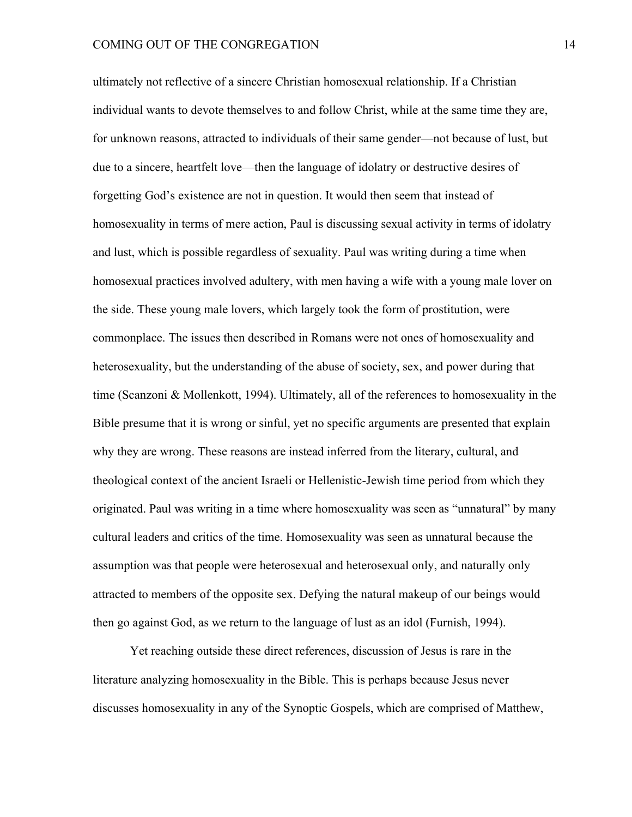ultimately not reflective of a sincere Christian homosexual relationship. If a Christian individual wants to devote themselves to and follow Christ, while at the same time they are, for unknown reasons, attracted to individuals of their same gender—not because of lust, but due to a sincere, heartfelt love—then the language of idolatry or destructive desires of forgetting God's existence are not in question. It would then seem that instead of homosexuality in terms of mere action, Paul is discussing sexual activity in terms of idolatry and lust, which is possible regardless of sexuality. Paul was writing during a time when homosexual practices involved adultery, with men having a wife with a young male lover on the side. These young male lovers, which largely took the form of prostitution, were commonplace. The issues then described in Romans were not ones of homosexuality and heterosexuality, but the understanding of the abuse of society, sex, and power during that time (Scanzoni & Mollenkott, 1994). Ultimately, all of the references to homosexuality in the Bible presume that it is wrong or sinful, yet no specific arguments are presented that explain why they are wrong. These reasons are instead inferred from the literary, cultural, and theological context of the ancient Israeli or Hellenistic-Jewish time period from which they originated. Paul was writing in a time where homosexuality was seen as "unnatural" by many cultural leaders and critics of the time. Homosexuality was seen as unnatural because the assumption was that people were heterosexual and heterosexual only, and naturally only attracted to members of the opposite sex. Defying the natural makeup of our beings would then go against God, as we return to the language of lust as an idol (Furnish, 1994).

Yet reaching outside these direct references, discussion of Jesus is rare in the literature analyzing homosexuality in the Bible. This is perhaps because Jesus never discusses homosexuality in any of the Synoptic Gospels, which are comprised of Matthew,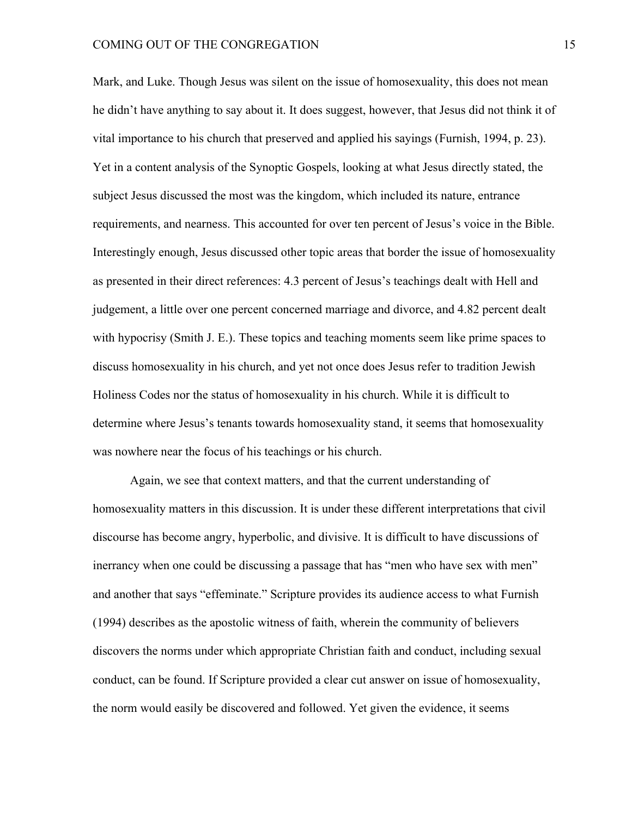#### COMING OUT OF THE CONGREGATION 15

Mark, and Luke. Though Jesus was silent on the issue of homosexuality, this does not mean he didn't have anything to say about it. It does suggest, however, that Jesus did not think it of vital importance to his church that preserved and applied his sayings (Furnish, 1994, p. 23). Yet in a content analysis of the Synoptic Gospels, looking at what Jesus directly stated, the subject Jesus discussed the most was the kingdom, which included its nature, entrance requirements, and nearness. This accounted for over ten percent of Jesus's voice in the Bible. Interestingly enough, Jesus discussed other topic areas that border the issue of homosexuality as presented in their direct references: 4.3 percent of Jesus's teachings dealt with Hell and judgement, a little over one percent concerned marriage and divorce, and 4.82 percent dealt with hypocrisy (Smith J. E.). These topics and teaching moments seem like prime spaces to discuss homosexuality in his church, and yet not once does Jesus refer to tradition Jewish Holiness Codes nor the status of homosexuality in his church. While it is difficult to determine where Jesus's tenants towards homosexuality stand, it seems that homosexuality was nowhere near the focus of his teachings or his church.

Again, we see that context matters, and that the current understanding of homosexuality matters in this discussion. It is under these different interpretations that civil discourse has become angry, hyperbolic, and divisive. It is difficult to have discussions of inerrancy when one could be discussing a passage that has "men who have sex with men" and another that says "effeminate." Scripture provides its audience access to what Furnish (1994) describes as the apostolic witness of faith, wherein the community of believers discovers the norms under which appropriate Christian faith and conduct, including sexual conduct, can be found. If Scripture provided a clear cut answer on issue of homosexuality, the norm would easily be discovered and followed. Yet given the evidence, it seems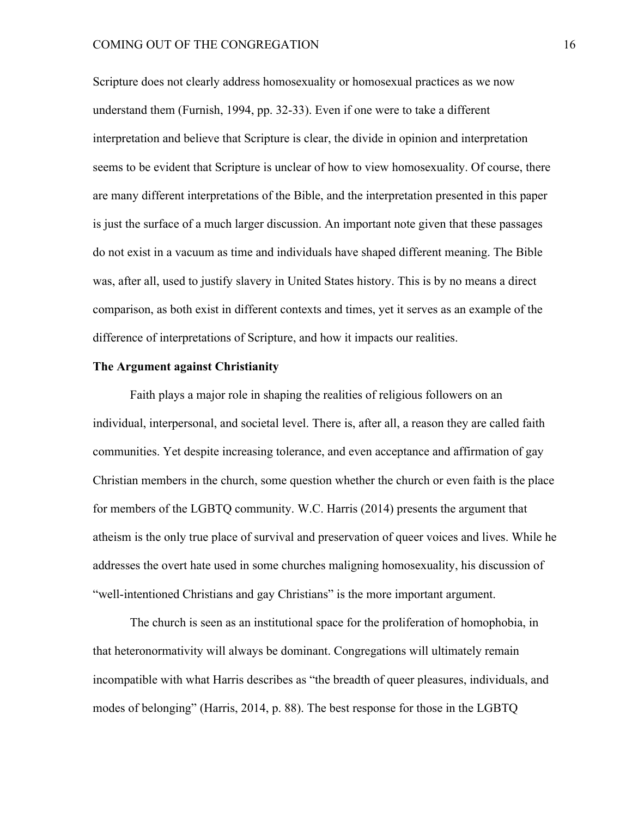#### COMING OUT OF THE CONGREGATION 16

Scripture does not clearly address homosexuality or homosexual practices as we now understand them (Furnish, 1994, pp. 32-33). Even if one were to take a different interpretation and believe that Scripture is clear, the divide in opinion and interpretation seems to be evident that Scripture is unclear of how to view homosexuality. Of course, there are many different interpretations of the Bible, and the interpretation presented in this paper is just the surface of a much larger discussion. An important note given that these passages do not exist in a vacuum as time and individuals have shaped different meaning. The Bible was, after all, used to justify slavery in United States history. This is by no means a direct comparison, as both exist in different contexts and times, yet it serves as an example of the difference of interpretations of Scripture, and how it impacts our realities.

#### **The Argument against Christianity**

Faith plays a major role in shaping the realities of religious followers on an individual, interpersonal, and societal level. There is, after all, a reason they are called faith communities. Yet despite increasing tolerance, and even acceptance and affirmation of gay Christian members in the church, some question whether the church or even faith is the place for members of the LGBTQ community. W.C. Harris (2014) presents the argument that atheism is the only true place of survival and preservation of queer voices and lives. While he addresses the overt hate used in some churches maligning homosexuality, his discussion of "well-intentioned Christians and gay Christians" is the more important argument.

The church is seen as an institutional space for the proliferation of homophobia, in that heteronormativity will always be dominant. Congregations will ultimately remain incompatible with what Harris describes as "the breadth of queer pleasures, individuals, and modes of belonging" (Harris, 2014, p. 88). The best response for those in the LGBTQ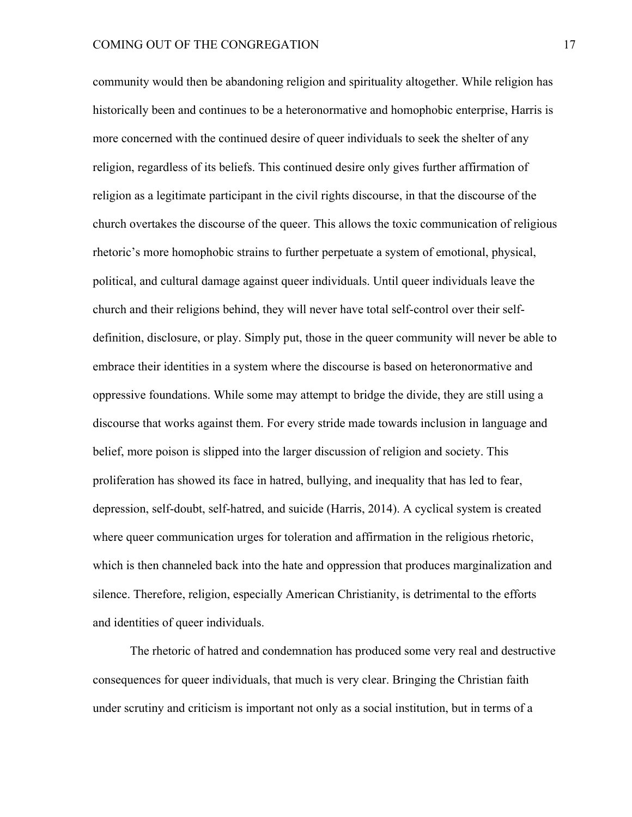community would then be abandoning religion and spirituality altogether. While religion has historically been and continues to be a heteronormative and homophobic enterprise, Harris is more concerned with the continued desire of queer individuals to seek the shelter of any religion, regardless of its beliefs. This continued desire only gives further affirmation of religion as a legitimate participant in the civil rights discourse, in that the discourse of the church overtakes the discourse of the queer. This allows the toxic communication of religious rhetoric's more homophobic strains to further perpetuate a system of emotional, physical, political, and cultural damage against queer individuals. Until queer individuals leave the church and their religions behind, they will never have total self-control over their selfdefinition, disclosure, or play. Simply put, those in the queer community will never be able to embrace their identities in a system where the discourse is based on heteronormative and oppressive foundations. While some may attempt to bridge the divide, they are still using a discourse that works against them. For every stride made towards inclusion in language and belief, more poison is slipped into the larger discussion of religion and society. This proliferation has showed its face in hatred, bullying, and inequality that has led to fear, depression, self-doubt, self-hatred, and suicide (Harris, 2014). A cyclical system is created where queer communication urges for toleration and affirmation in the religious rhetoric, which is then channeled back into the hate and oppression that produces marginalization and silence. Therefore, religion, especially American Christianity, is detrimental to the efforts and identities of queer individuals.

The rhetoric of hatred and condemnation has produced some very real and destructive consequences for queer individuals, that much is very clear. Bringing the Christian faith under scrutiny and criticism is important not only as a social institution, but in terms of a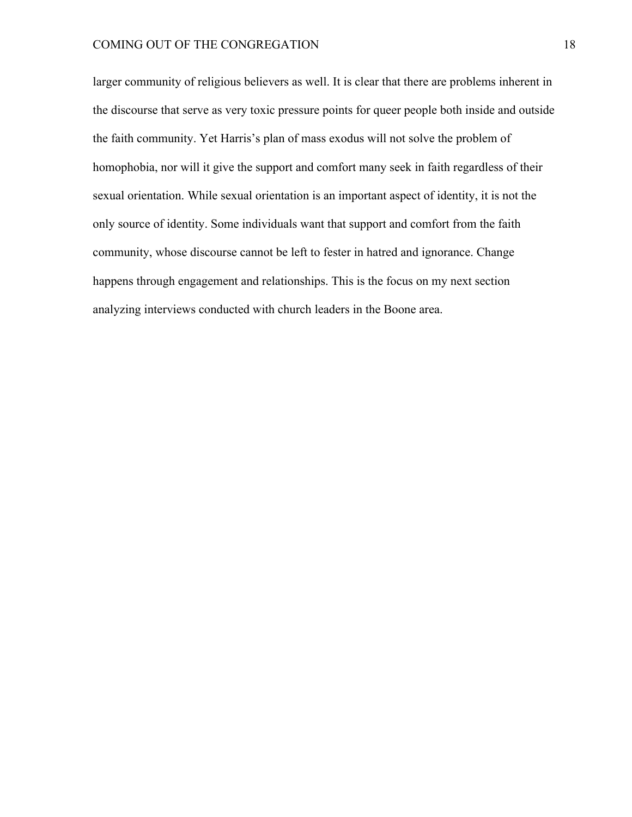larger community of religious believers as well. It is clear that there are problems inherent in the discourse that serve as very toxic pressure points for queer people both inside and outside the faith community. Yet Harris's plan of mass exodus will not solve the problem of homophobia, nor will it give the support and comfort many seek in faith regardless of their sexual orientation. While sexual orientation is an important aspect of identity, it is not the only source of identity. Some individuals want that support and comfort from the faith community, whose discourse cannot be left to fester in hatred and ignorance. Change happens through engagement and relationships. This is the focus on my next section analyzing interviews conducted with church leaders in the Boone area.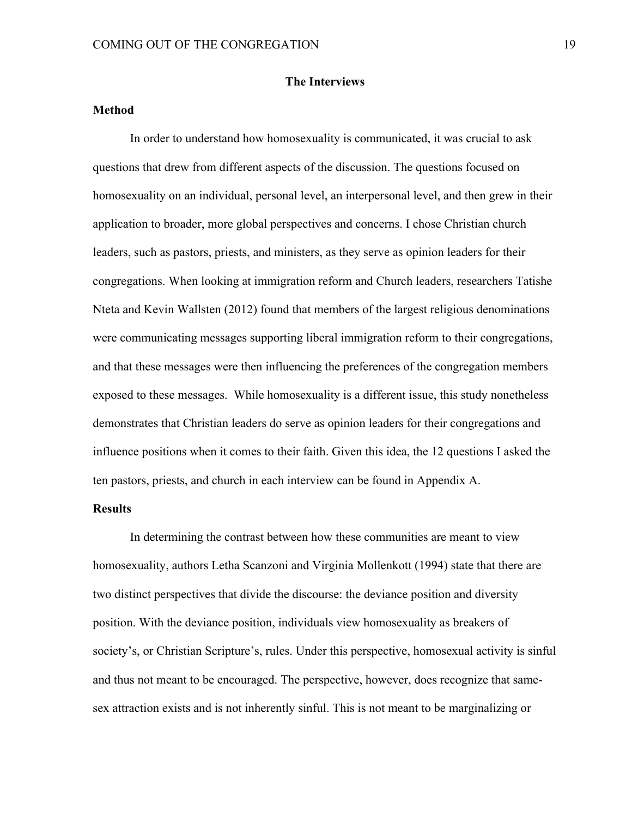#### **The Interviews**

# **Method**

In order to understand how homosexuality is communicated, it was crucial to ask questions that drew from different aspects of the discussion. The questions focused on homosexuality on an individual, personal level, an interpersonal level, and then grew in their application to broader, more global perspectives and concerns. I chose Christian church leaders, such as pastors, priests, and ministers, as they serve as opinion leaders for their congregations. When looking at immigration reform and Church leaders, researchers Tatishe Nteta and Kevin Wallsten (2012) found that members of the largest religious denominations were communicating messages supporting liberal immigration reform to their congregations, and that these messages were then influencing the preferences of the congregation members exposed to these messages. While homosexuality is a different issue, this study nonetheless demonstrates that Christian leaders do serve as opinion leaders for their congregations and influence positions when it comes to their faith. Given this idea, the 12 questions I asked the ten pastors, priests, and church in each interview can be found in Appendix A.

## **Results**

In determining the contrast between how these communities are meant to view homosexuality, authors Letha Scanzoni and Virginia Mollenkott (1994) state that there are two distinct perspectives that divide the discourse: the deviance position and diversity position. With the deviance position, individuals view homosexuality as breakers of society's, or Christian Scripture's, rules. Under this perspective, homosexual activity is sinful and thus not meant to be encouraged. The perspective, however, does recognize that samesex attraction exists and is not inherently sinful. This is not meant to be marginalizing or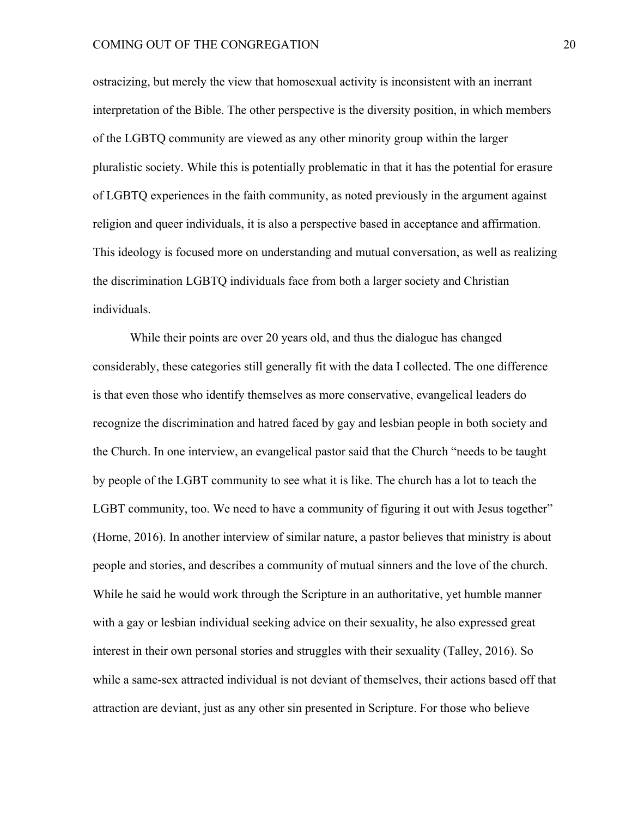#### COMING OUT OF THE CONGREGATION 20

ostracizing, but merely the view that homosexual activity is inconsistent with an inerrant interpretation of the Bible. The other perspective is the diversity position, in which members of the LGBTQ community are viewed as any other minority group within the larger pluralistic society. While this is potentially problematic in that it has the potential for erasure of LGBTQ experiences in the faith community, as noted previously in the argument against religion and queer individuals, it is also a perspective based in acceptance and affirmation. This ideology is focused more on understanding and mutual conversation, as well as realizing the discrimination LGBTQ individuals face from both a larger society and Christian individuals.

While their points are over 20 years old, and thus the dialogue has changed considerably, these categories still generally fit with the data I collected. The one difference is that even those who identify themselves as more conservative, evangelical leaders do recognize the discrimination and hatred faced by gay and lesbian people in both society and the Church. In one interview, an evangelical pastor said that the Church "needs to be taught by people of the LGBT community to see what it is like. The church has a lot to teach the LGBT community, too. We need to have a community of figuring it out with Jesus together" (Horne, 2016). In another interview of similar nature, a pastor believes that ministry is about people and stories, and describes a community of mutual sinners and the love of the church. While he said he would work through the Scripture in an authoritative, yet humble manner with a gay or lesbian individual seeking advice on their sexuality, he also expressed great interest in their own personal stories and struggles with their sexuality (Talley, 2016). So while a same-sex attracted individual is not deviant of themselves, their actions based off that attraction are deviant, just as any other sin presented in Scripture. For those who believe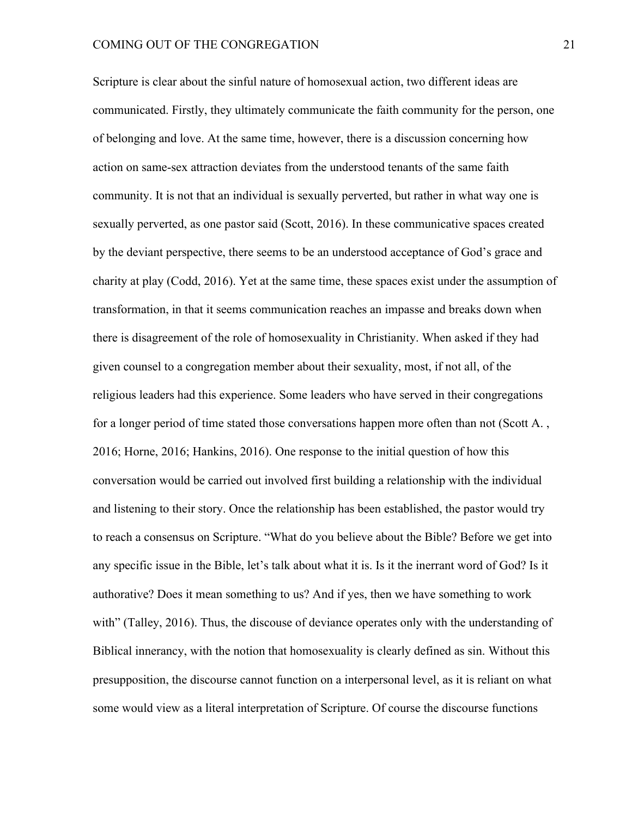Scripture is clear about the sinful nature of homosexual action, two different ideas are communicated. Firstly, they ultimately communicate the faith community for the person, one of belonging and love. At the same time, however, there is a discussion concerning how action on same-sex attraction deviates from the understood tenants of the same faith community. It is not that an individual is sexually perverted, but rather in what way one is sexually perverted, as one pastor said (Scott, 2016). In these communicative spaces created by the deviant perspective, there seems to be an understood acceptance of God's grace and charity at play (Codd, 2016). Yet at the same time, these spaces exist under the assumption of transformation, in that it seems communication reaches an impasse and breaks down when there is disagreement of the role of homosexuality in Christianity. When asked if they had given counsel to a congregation member about their sexuality, most, if not all, of the religious leaders had this experience. Some leaders who have served in their congregations for a longer period of time stated those conversations happen more often than not (Scott A., 2016; Horne, 2016; Hankins, 2016). One response to the initial question of how this conversation would be carried out involved first building a relationship with the individual and listening to their story. Once the relationship has been established, the pastor would try to reach a consensus on Scripture. "What do you believe about the Bible? Before we get into any specific issue in the Bible, let's talk about what it is. Is it the inerrant word of God? Is it authorative? Does it mean something to us? And if yes, then we have something to work with" (Talley, 2016). Thus, the discouse of deviance operates only with the understanding of Biblical innerancy, with the notion that homosexuality is clearly defined as sin. Without this presupposition, the discourse cannot function on a interpersonal level, as it is reliant on what some would view as a literal interpretation of Scripture. Of course the discourse functions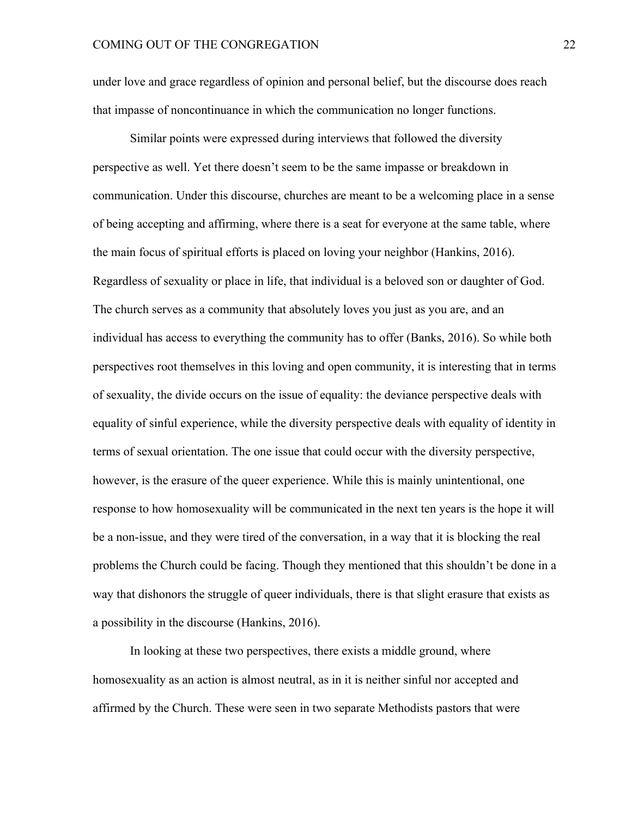under love and grace regardless of opinion and personal belief, but the discourse does reach that impasse of noncontinuance in which the communication no longer functions.

Similar points were expressed during interviews that followed the diversity perspective as well. Yet there doesn't seem to be the same impasse or breakdown in communication. Under this discourse, churches are meant to be a welcoming place in a sense of being accepting and affirming, where there is a seat for everyone at the same table, where the main focus of spiritual efforts is placed on loving your neighbor (Hankins, 2016). Regardless of sexuality or place in life, that individual is a beloved son or daughter of God. The church serves as a community that absolutely loves you just as you are, and an individual has access to everything the community has to offer (Banks, 2016). So while both perspectives root themselves in this loving and open community, it is interesting that in terms of sexuality, the divide occurs on the issue of equality: the deviance perspective deals with equality of sinful experience, while the diversity perspective deals with equality of identity in terms of sexual orientation. The one issue that could occur with the diversity perspective, however, is the erasure of the queer experience. While this is mainly unintentional, one response to how homosexuality will be communicated in the next ten years is the hope it will be a non-issue, and they were tired of the conversation, in a way that it is blocking the real problems the Church could be facing. Though they mentioned that this shouldn't be done in a way that dishonors the struggle of queer individuals, there is that slight erasure that exists as a possibility in the discourse (Hankins, 2016).

In looking at these two perspectives, there exists a middle ground, where homosexuality as an action is almost neutral, as in it is neither sinful nor accepted and affirmed by the Church. These were seen in two separate Methodists pastors that were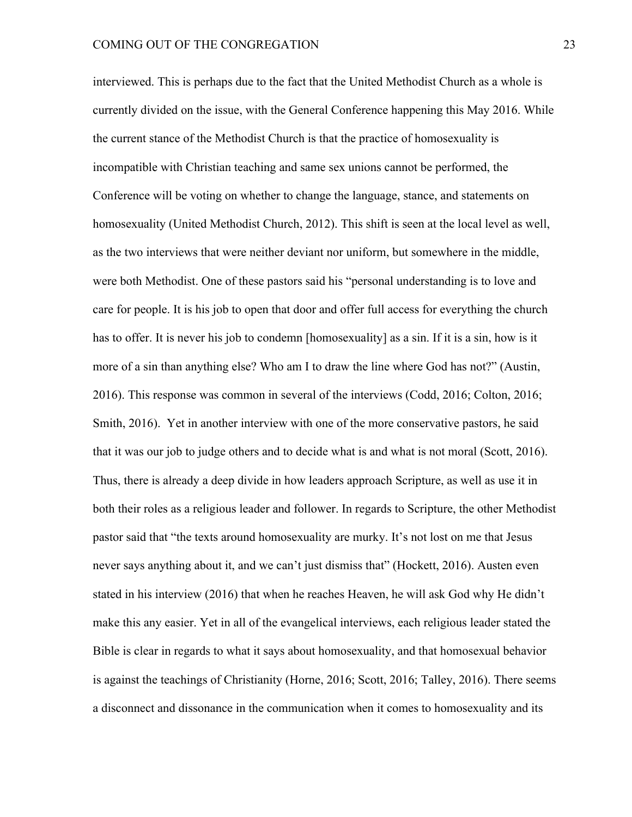interviewed. This is perhaps due to the fact that the United Methodist Church as a whole is currently divided on the issue, with the General Conference happening this May 2016. While the current stance of the Methodist Church is that the practice of homosexuality is incompatible with Christian teaching and same sex unions cannot be performed, the Conference will be voting on whether to change the language, stance, and statements on homosexuality (United Methodist Church, 2012). This shift is seen at the local level as well, as the two interviews that were neither deviant nor uniform, but somewhere in the middle, were both Methodist. One of these pastors said his "personal understanding is to love and care for people. It is his job to open that door and offer full access for everything the church has to offer. It is never his job to condemn [homosexuality] as a sin. If it is a sin, how is it more of a sin than anything else? Who am I to draw the line where God has not?" (Austin, 2016). This response was common in several of the interviews (Codd, 2016; Colton, 2016; Smith, 2016). Yet in another interview with one of the more conservative pastors, he said that it was our job to judge others and to decide what is and what is not moral (Scott, 2016). Thus, there is already a deep divide in how leaders approach Scripture, as well as use it in both their roles as a religious leader and follower. In regards to Scripture, the other Methodist pastor said that "the texts around homosexuality are murky. It's not lost on me that Jesus never says anything about it, and we can't just dismiss that" (Hockett, 2016). Austen even stated in his interview (2016) that when he reaches Heaven, he will ask God why He didn't make this any easier. Yet in all of the evangelical interviews, each religious leader stated the Bible is clear in regards to what it says about homosexuality, and that homosexual behavior is against the teachings of Christianity (Horne, 2016; Scott, 2016; Talley, 2016). There seems a disconnect and dissonance in the communication when it comes to homosexuality and its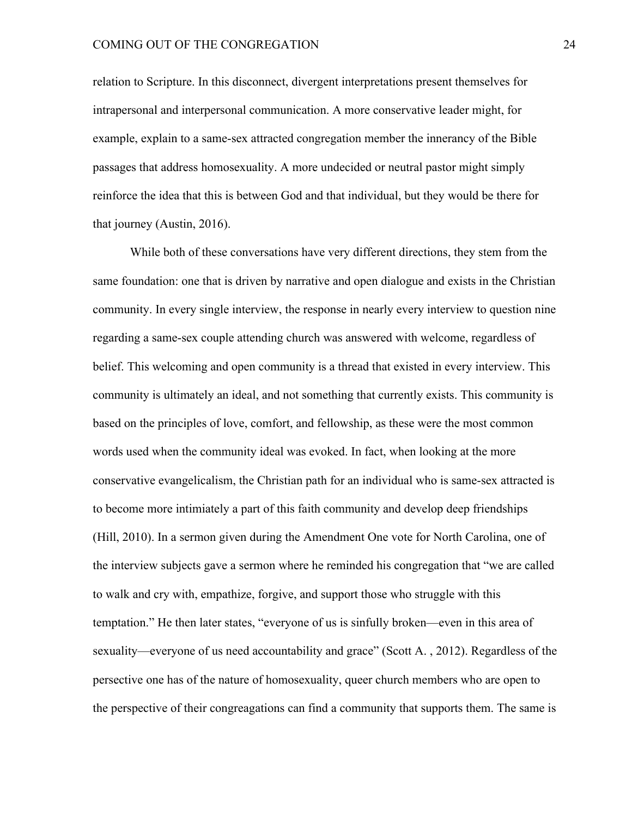relation to Scripture. In this disconnect, divergent interpretations present themselves for intrapersonal and interpersonal communication. A more conservative leader might, for example, explain to a same-sex attracted congregation member the innerancy of the Bible passages that address homosexuality. A more undecided or neutral pastor might simply reinforce the idea that this is between God and that individual, but they would be there for that journey (Austin, 2016).

While both of these conversations have very different directions, they stem from the same foundation: one that is driven by narrative and open dialogue and exists in the Christian community. In every single interview, the response in nearly every interview to question nine regarding a same-sex couple attending church was answered with welcome, regardless of belief. This welcoming and open community is a thread that existed in every interview. This community is ultimately an ideal, and not something that currently exists. This community is based on the principles of love, comfort, and fellowship, as these were the most common words used when the community ideal was evoked. In fact, when looking at the more conservative evangelicalism, the Christian path for an individual who is same-sex attracted is to become more intimiately a part of this faith community and develop deep friendships (Hill, 2010). In a sermon given during the Amendment One vote for North Carolina, one of the interview subjects gave a sermon where he reminded his congregation that "we are called to walk and cry with, empathize, forgive, and support those who struggle with this temptation." He then later states, "everyone of us is sinfully broken—even in this area of sexuality—everyone of us need accountability and grace" (Scott A. , 2012). Regardless of the persective one has of the nature of homosexuality, queer church members who are open to the perspective of their congreagations can find a community that supports them. The same is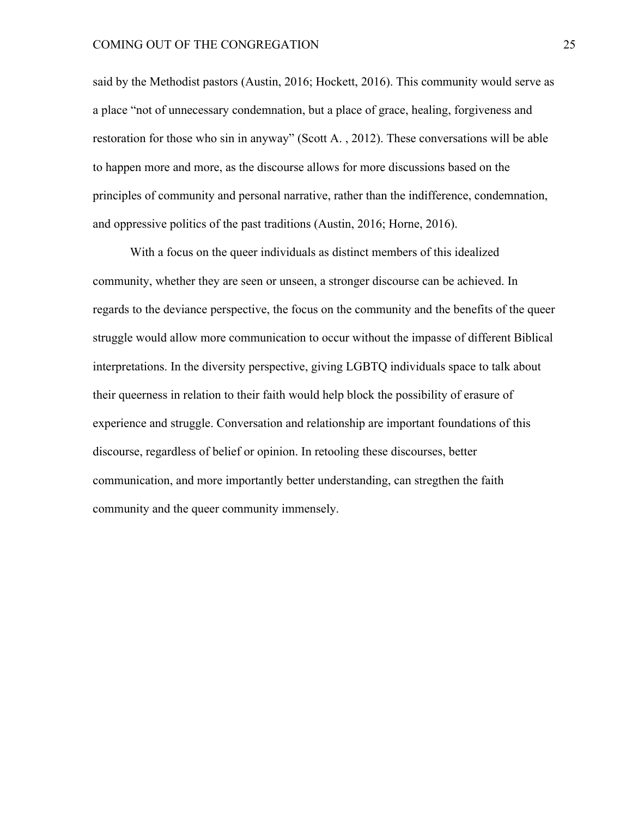said by the Methodist pastors (Austin, 2016; Hockett, 2016). This community would serve as a place "not of unnecessary condemnation, but a place of grace, healing, forgiveness and restoration for those who sin in anyway" (Scott A. , 2012). These conversations will be able to happen more and more, as the discourse allows for more discussions based on the principles of community and personal narrative, rather than the indifference, condemnation, and oppressive politics of the past traditions (Austin, 2016; Horne, 2016).

With a focus on the queer individuals as distinct members of this idealized community, whether they are seen or unseen, a stronger discourse can be achieved. In regards to the deviance perspective, the focus on the community and the benefits of the queer struggle would allow more communication to occur without the impasse of different Biblical interpretations. In the diversity perspective, giving LGBTQ individuals space to talk about their queerness in relation to their faith would help block the possibility of erasure of experience and struggle. Conversation and relationship are important foundations of this discourse, regardless of belief or opinion. In retooling these discourses, better communication, and more importantly better understanding, can stregthen the faith community and the queer community immensely.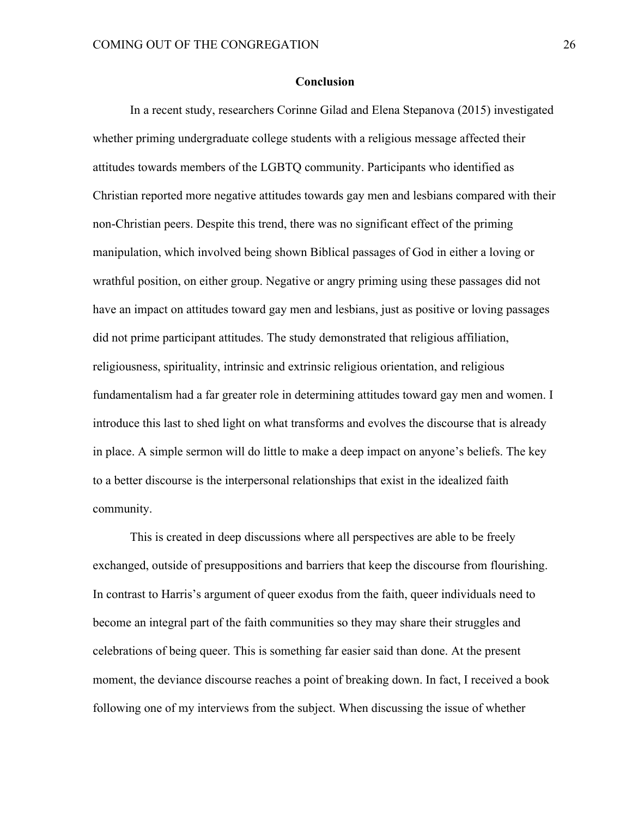#### **Conclusion**

In a recent study, researchers Corinne Gilad and Elena Stepanova (2015) investigated whether priming undergraduate college students with a religious message affected their attitudes towards members of the LGBTQ community. Participants who identified as Christian reported more negative attitudes towards gay men and lesbians compared with their non-Christian peers. Despite this trend, there was no significant effect of the priming manipulation, which involved being shown Biblical passages of God in either a loving or wrathful position, on either group. Negative or angry priming using these passages did not have an impact on attitudes toward gay men and lesbians, just as positive or loving passages did not prime participant attitudes. The study demonstrated that religious affiliation, religiousness, spirituality, intrinsic and extrinsic religious orientation, and religious fundamentalism had a far greater role in determining attitudes toward gay men and women. I introduce this last to shed light on what transforms and evolves the discourse that is already in place. A simple sermon will do little to make a deep impact on anyone's beliefs. The key to a better discourse is the interpersonal relationships that exist in the idealized faith community.

This is created in deep discussions where all perspectives are able to be freely exchanged, outside of presuppositions and barriers that keep the discourse from flourishing. In contrast to Harris's argument of queer exodus from the faith, queer individuals need to become an integral part of the faith communities so they may share their struggles and celebrations of being queer. This is something far easier said than done. At the present moment, the deviance discourse reaches a point of breaking down. In fact, I received a book following one of my interviews from the subject. When discussing the issue of whether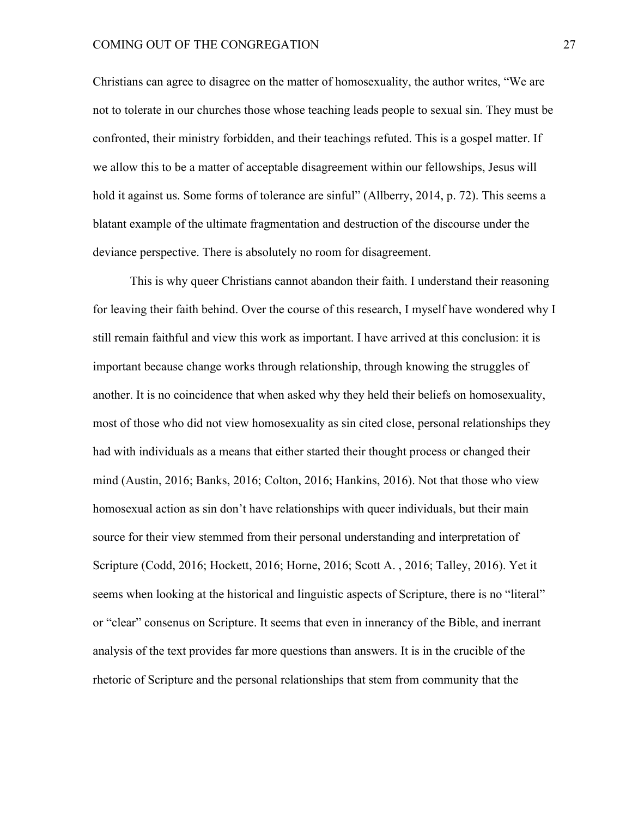#### COMING OUT OF THE CONGREGATION 27

Christians can agree to disagree on the matter of homosexuality, the author writes, "We are not to tolerate in our churches those whose teaching leads people to sexual sin. They must be confronted, their ministry forbidden, and their teachings refuted. This is a gospel matter. If we allow this to be a matter of acceptable disagreement within our fellowships, Jesus will hold it against us. Some forms of tolerance are sinful" (Allberry, 2014, p. 72). This seems a blatant example of the ultimate fragmentation and destruction of the discourse under the deviance perspective. There is absolutely no room for disagreement.

This is why queer Christians cannot abandon their faith. I understand their reasoning for leaving their faith behind. Over the course of this research, I myself have wondered why I still remain faithful and view this work as important. I have arrived at this conclusion: it is important because change works through relationship, through knowing the struggles of another. It is no coincidence that when asked why they held their beliefs on homosexuality, most of those who did not view homosexuality as sin cited close, personal relationships they had with individuals as a means that either started their thought process or changed their mind (Austin, 2016; Banks, 2016; Colton, 2016; Hankins, 2016). Not that those who view homosexual action as sin don't have relationships with queer individuals, but their main source for their view stemmed from their personal understanding and interpretation of Scripture (Codd, 2016; Hockett, 2016; Horne, 2016; Scott A. , 2016; Talley, 2016). Yet it seems when looking at the historical and linguistic aspects of Scripture, there is no "literal" or "clear" consenus on Scripture. It seems that even in innerancy of the Bible, and inerrant analysis of the text provides far more questions than answers. It is in the crucible of the rhetoric of Scripture and the personal relationships that stem from community that the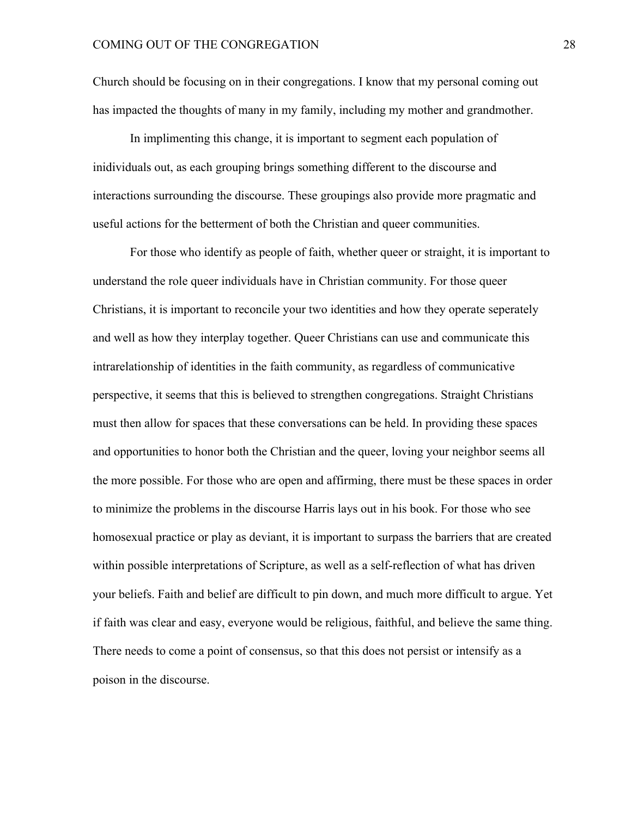Church should be focusing on in their congregations. I know that my personal coming out has impacted the thoughts of many in my family, including my mother and grandmother.

In implimenting this change, it is important to segment each population of inidividuals out, as each grouping brings something different to the discourse and interactions surrounding the discourse. These groupings also provide more pragmatic and useful actions for the betterment of both the Christian and queer communities.

For those who identify as people of faith, whether queer or straight, it is important to understand the role queer individuals have in Christian community. For those queer Christians, it is important to reconcile your two identities and how they operate seperately and well as how they interplay together. Queer Christians can use and communicate this intrarelationship of identities in the faith community, as regardless of communicative perspective, it seems that this is believed to strengthen congregations. Straight Christians must then allow for spaces that these conversations can be held. In providing these spaces and opportunities to honor both the Christian and the queer, loving your neighbor seems all the more possible. For those who are open and affirming, there must be these spaces in order to minimize the problems in the discourse Harris lays out in his book. For those who see homosexual practice or play as deviant, it is important to surpass the barriers that are created within possible interpretations of Scripture, as well as a self-reflection of what has driven your beliefs. Faith and belief are difficult to pin down, and much more difficult to argue. Yet if faith was clear and easy, everyone would be religious, faithful, and believe the same thing. There needs to come a point of consensus, so that this does not persist or intensify as a poison in the discourse.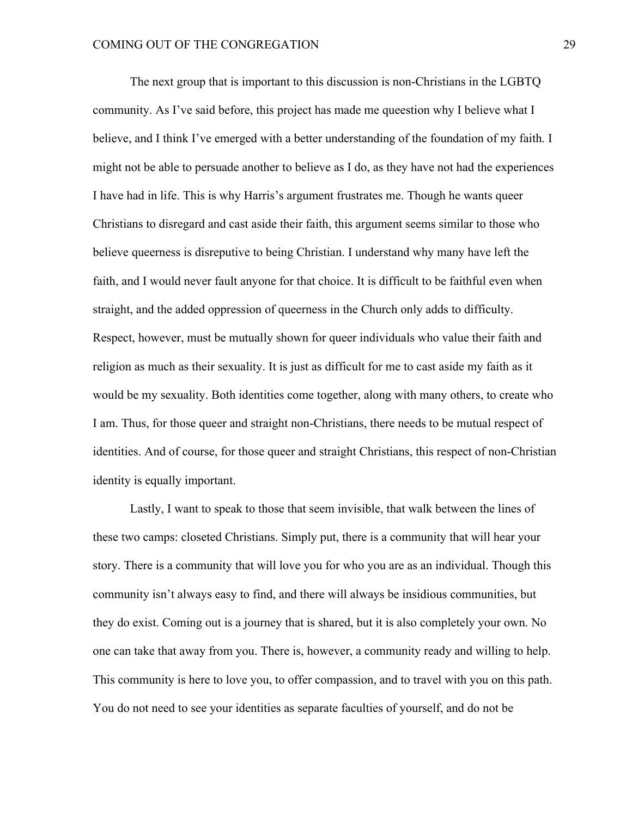The next group that is important to this discussion is non-Christians in the LGBTQ community. As I've said before, this project has made me queestion why I believe what I believe, and I think I've emerged with a better understanding of the foundation of my faith. I might not be able to persuade another to believe as I do, as they have not had the experiences I have had in life. This is why Harris's argument frustrates me. Though he wants queer Christians to disregard and cast aside their faith, this argument seems similar to those who believe queerness is disreputive to being Christian. I understand why many have left the faith, and I would never fault anyone for that choice. It is difficult to be faithful even when straight, and the added oppression of queerness in the Church only adds to difficulty. Respect, however, must be mutually shown for queer individuals who value their faith and religion as much as their sexuality. It is just as difficult for me to cast aside my faith as it would be my sexuality. Both identities come together, along with many others, to create who I am. Thus, for those queer and straight non-Christians, there needs to be mutual respect of identities. And of course, for those queer and straight Christians, this respect of non-Christian identity is equally important.

Lastly, I want to speak to those that seem invisible, that walk between the lines of these two camps: closeted Christians. Simply put, there is a community that will hear your story. There is a community that will love you for who you are as an individual. Though this community isn't always easy to find, and there will always be insidious communities, but they do exist. Coming out is a journey that is shared, but it is also completely your own. No one can take that away from you. There is, however, a community ready and willing to help. This community is here to love you, to offer compassion, and to travel with you on this path. You do not need to see your identities as separate faculties of yourself, and do not be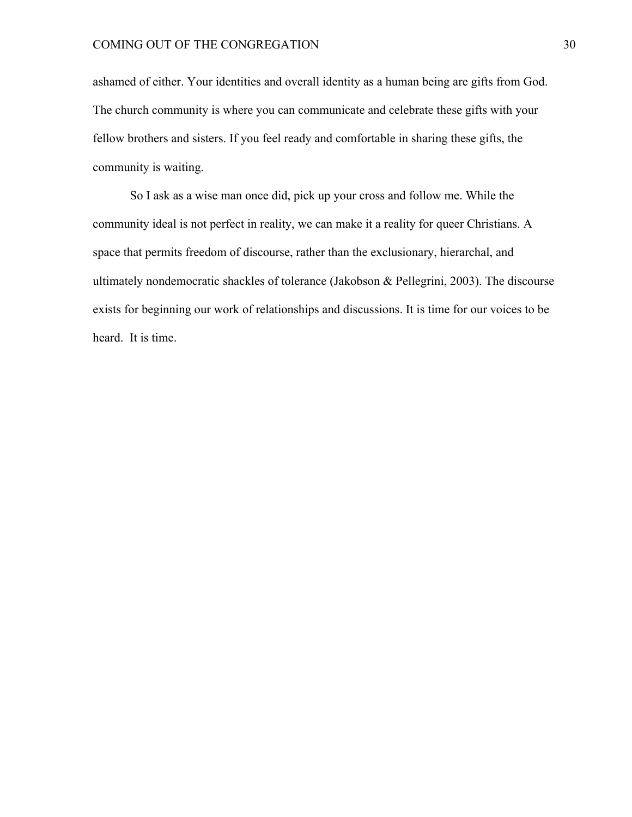ashamed of either. Your identities and overall identity as a human being are gifts from God. The church community is where you can communicate and celebrate these gifts with your fellow brothers and sisters. If you feel ready and comfortable in sharing these gifts, the community is waiting.

So I ask as a wise man once did, pick up your cross and follow me. While the community ideal is not perfect in reality, we can make it a reality for queer Christians. A space that permits freedom of discourse, rather than the exclusionary, hierarchal, and ultimately nondemocratic shackles of tolerance (Jakobson & Pellegrini, 2003). The discourse exists for beginning our work of relationships and discussions. It is time for our voices to be heard. It is time.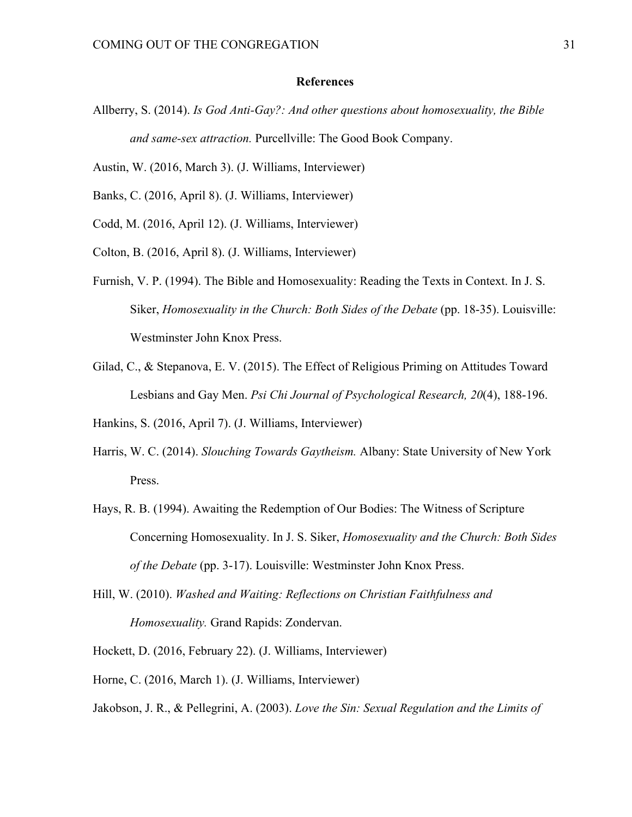#### **References**

- Allberry, S. (2014). *Is God Anti-Gay?: And other questions about homosexuality, the Bible and same-sex attraction.* Purcellville: The Good Book Company.
- Austin, W. (2016, March 3). (J. Williams, Interviewer)
- Banks, C. (2016, April 8). (J. Williams, Interviewer)
- Codd, M. (2016, April 12). (J. Williams, Interviewer)
- Colton, B. (2016, April 8). (J. Williams, Interviewer)
- Furnish, V. P. (1994). The Bible and Homosexuality: Reading the Texts in Context. In J. S. Siker, *Homosexuality in the Church: Both Sides of the Debate* (pp. 18-35). Louisville: Westminster John Knox Press.
- Gilad, C., & Stepanova, E. V. (2015). The Effect of Religious Priming on Attitudes Toward Lesbians and Gay Men. *Psi Chi Journal of Psychological Research, 20*(4), 188-196.

Hankins, S. (2016, April 7). (J. Williams, Interviewer)

- Harris, W. C. (2014). *Slouching Towards Gaytheism.* Albany: State University of New York Press.
- Hays, R. B. (1994). Awaiting the Redemption of Our Bodies: The Witness of Scripture Concerning Homosexuality. In J. S. Siker, *Homosexuality and the Church: Both Sides of the Debate* (pp. 3-17). Louisville: Westminster John Knox Press.
- Hill, W. (2010). *Washed and Waiting: Reflections on Christian Faithfulness and Homosexuality.* Grand Rapids: Zondervan.
- Hockett, D. (2016, February 22). (J. Williams, Interviewer)
- Horne, C. (2016, March 1). (J. Williams, Interviewer)
- Jakobson, J. R., & Pellegrini, A. (2003). *Love the Sin: Sexual Regulation and the Limits of*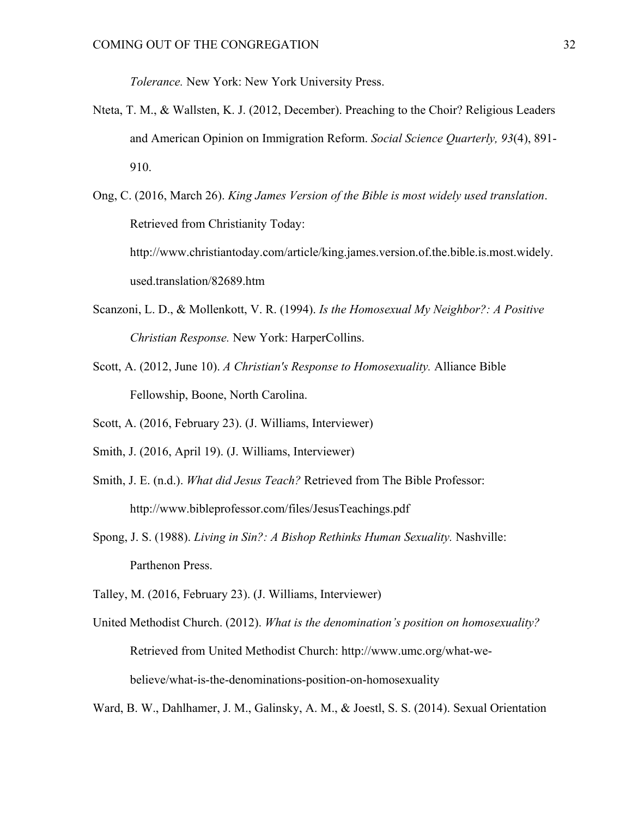*Tolerance.* New York: New York University Press.

- Nteta, T. M., & Wallsten, K. J. (2012, December). Preaching to the Choir? Religious Leaders and American Opinion on Immigration Reform. *Social Science Quarterly, 93*(4), 891- 910.
- Ong, C. (2016, March 26). *King James Version of the Bible is most widely used translation*. Retrieved from Christianity Today: http://www.christiantoday.com/article/king.james.version.of.the.bible.is.most.widely. used.translation/82689.htm
- Scanzoni, L. D., & Mollenkott, V. R. (1994). *Is the Homosexual My Neighbor?: A Positive Christian Response.* New York: HarperCollins.
- Scott, A. (2012, June 10). *A Christian's Response to Homosexuality.* Alliance Bible Fellowship, Boone, North Carolina.
- Scott, A. (2016, February 23). (J. Williams, Interviewer)
- Smith, J. (2016, April 19). (J. Williams, Interviewer)
- Smith, J. E. (n.d.). *What did Jesus Teach?* Retrieved from The Bible Professor: http://www.bibleprofessor.com/files/JesusTeachings.pdf
- Spong, J. S. (1988). *Living in Sin?: A Bishop Rethinks Human Sexuality.* Nashville: Parthenon Press.
- Talley, M. (2016, February 23). (J. Williams, Interviewer)
- United Methodist Church. (2012). *What is the denomination's position on homosexuality?* Retrieved from United Methodist Church: http://www.umc.org/what-webelieve/what-is-the-denominations-position-on-homosexuality

Ward, B. W., Dahlhamer, J. M., Galinsky, A. M., & Joestl, S. S. (2014). Sexual Orientation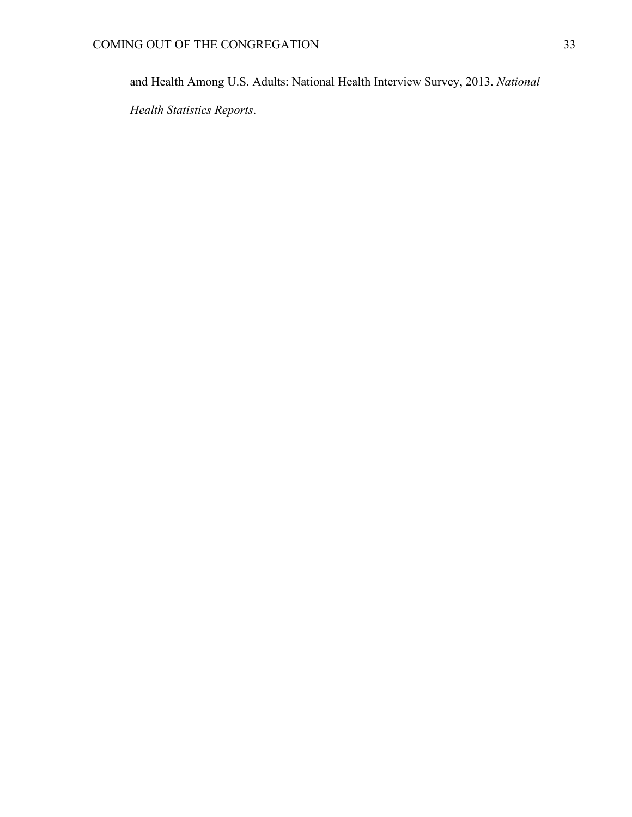and Health Among U.S. Adults: National Health Interview Survey, 2013. *National* 

*Health Statistics Reports*.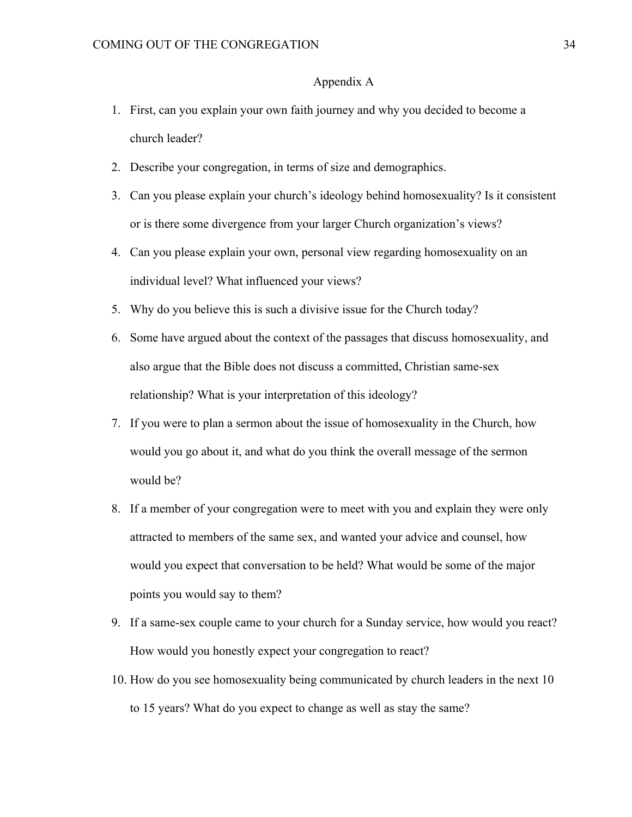# Appendix A

- 1. First, can you explain your own faith journey and why you decided to become a church leader?
- 2. Describe your congregation, in terms of size and demographics.
- 3. Can you please explain your church's ideology behind homosexuality? Is it consistent or is there some divergence from your larger Church organization's views?
- 4. Can you please explain your own, personal view regarding homosexuality on an individual level? What influenced your views?
- 5. Why do you believe this is such a divisive issue for the Church today?
- 6. Some have argued about the context of the passages that discuss homosexuality, and also argue that the Bible does not discuss a committed, Christian same-sex relationship? What is your interpretation of this ideology?
- 7. If you were to plan a sermon about the issue of homosexuality in the Church, how would you go about it, and what do you think the overall message of the sermon would be?
- 8. If a member of your congregation were to meet with you and explain they were only attracted to members of the same sex, and wanted your advice and counsel, how would you expect that conversation to be held? What would be some of the major points you would say to them?
- 9. If a same-sex couple came to your church for a Sunday service, how would you react? How would you honestly expect your congregation to react?
- 10. How do you see homosexuality being communicated by church leaders in the next 10 to 15 years? What do you expect to change as well as stay the same?